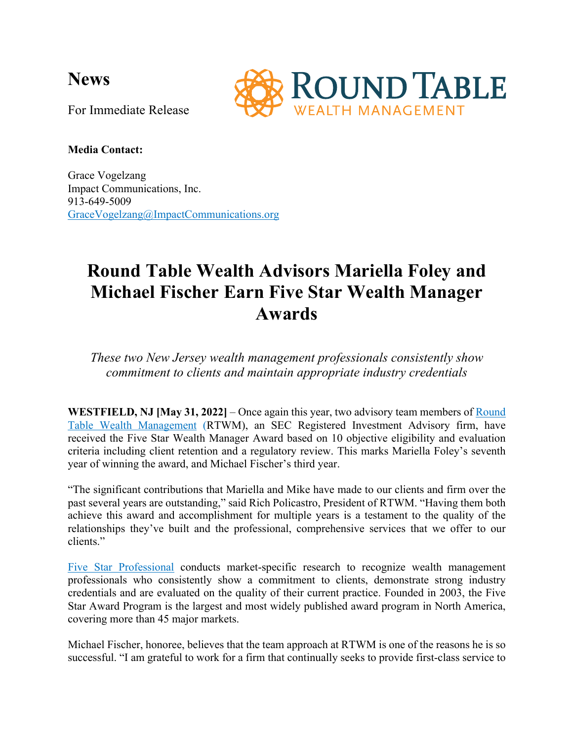**News**



For Immediate Release

# **Media Contact:**

Grace Vogelzang Impact Communications, Inc. 913-649-5009 GraceVogelzang@ImpactCommunications.org

# **Round Table Wealth Advisors Mariella Foley and Michael Fischer Earn Five Star Wealth Manager Awards**

*These two New Jersey wealth management professionals consistently show commitment to clients and maintain appropriate industry credentials*

**WESTFIELD, NJ [May 31, 2022]** – Once again this year, two advisory team members of Round Table Wealth Management (RTWM), an SEC Registered Investment Advisory firm, have received the Five Star Wealth Manager Award based on 10 objective eligibility and evaluation criteria including client retention and a regulatory review. This marks Mariella Foley's seventh year of winning the award, and Michael Fischer's third year.

"The significant contributions that Mariella and Mike have made to our clients and firm over the past several years are outstanding," said Rich Policastro, President of RTWM. "Having them both achieve this award and accomplishment for multiple years is a testament to the quality of the relationships they've built and the professional, comprehensive services that we offer to our clients."

Five Star Professional conducts market-specific research to recognize wealth management professionals who consistently show a commitment to clients, demonstrate strong industry credentials and are evaluated on the quality of their current practice. Founded in 2003, the Five Star Award Program is the largest and most widely published award program in North America, covering more than 45 major markets.

Michael Fischer, honoree, believes that the team approach at RTWM is one of the reasons he is so successful. "I am grateful to work for a firm that continually seeks to provide first-class service to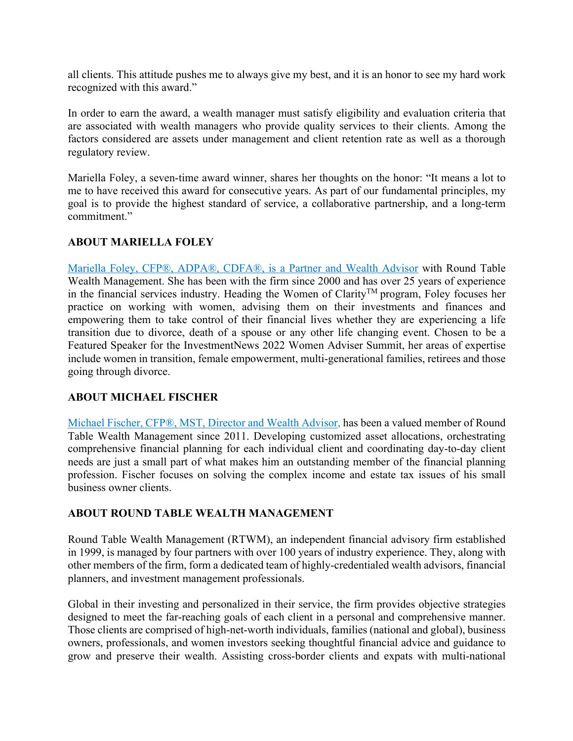all clients. This attitude pushes me to always give my best, and it is an honor to see my hard work recognized with this award."

In order to earn the award, a wealth manager must satisfy eligibility and evaluation criteria that are associated with wealth managers who provide quality services to their clients. Among the factors considered are assets under management and client retention rate as well as a thorough regulatory review.

Mariella Foley, a seven-time award winner, shares her thoughts on the honor: "It means a lot to me to have received this award for consecutive years. As part of our fundamental principles, my goal is to provide the highest standard of service, a collaborative partnership, and a long-term commitment."

# **ABOUT MARIELLA FOLEY**

Mariella Foley, CFP®, ADPA®, CDFA®, is a Partner and Wealth Advisor with Round Table Wealth Management. She has been with the firm since 2000 and has over 25 years of experience in the financial services industry. Heading the Women of Clarity<sup>TM</sup> program, Foley focuses her practice on working with women, advising them on their investments and finances and empowering them to take control of their financial lives whether they are experiencing a life transition due to divorce, death of a spouse or any other life changing event. Chosen to be a Featured Speaker for the InvestmentNews 2022 Women Adviser Summit, her areas of expertise include women in transition, female empowerment, multi-generational families, retirees and those going through divorce.

# **ABOUT MICHAEL FISCHER**

Michael Fischer, CFP®, MST, Director and Wealth Advisor, has been a valued member of Round Table Wealth Management since 2011. Developing customized asset allocations, orchestrating comprehensive financial planning for each individual client and coordinating day-to-day client needs are just a small part of what makes him an outstanding member of the financial planning profession. Fischer focuses on solving the complex income and estate tax issues of his small business owner clients.

# **ABOUT ROUND TABLE WEALTH MANAGEMENT**

Round Table Wealth Management (RTWM), an independent financial advisory firm established in 1999, is managed by four partners with over 100 years of industry experience. They, along with other members of the firm, form a dedicated team of highly-credentialed wealth advisors, financial planners, and investment management professionals.

Global in their investing and personalized in their service, the firm provides objective strategies designed to meet the far-reaching goals of each client in a personal and comprehensive manner. Those clients are comprised of high-net-worth individuals, families (national and global), business owners, professionals, and women investors seeking thoughtful financial advice and guidance to grow and preserve their wealth. Assisting cross-border clients and expats with multi-national